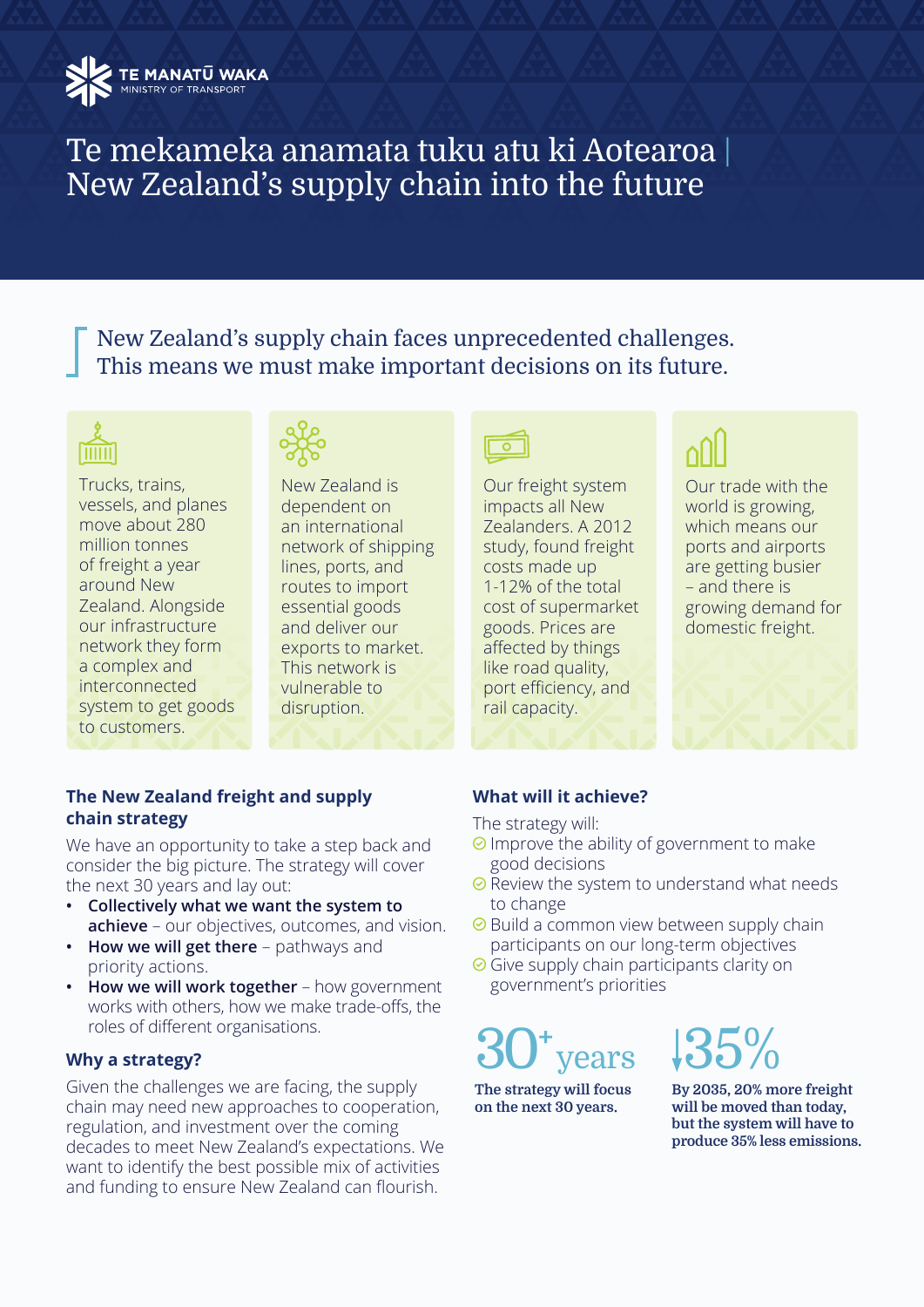

# Te mekameka anamata tuku atu ki Aotearoa | New Zealand's supply chain into the future

New Zealand's supply chain faces unprecedented challenges. This means we must make important decisions on its future.

# IIIIII

Trucks, trains, vessels, and planes move about 280 million tonnes of freight a year around New Zealand. Alongside our infrastructure network they form a complex and interconnected system to get goods to customers.



New Zealand is dependent on an international network of shipping lines, ports, and routes to import essential goods and deliver our exports to market. This network is vulnerable to disruption.



Our freight system impacts all New Zealanders. A 2012 study, found freight costs made up 1-12% of the total cost of supermarket goods. Prices are affected by things like road quality, port efficiency, and rail capacity.



Our trade with the world is growing, which means our ports and airports are getting busier – and there is growing demand for domestic freight.

#### **The New Zealand freight and supply chain strategy**

We have an opportunity to take a step back and consider the big picture. The strategy will cover the next 30 years and lay out:

- **• Collectively what we want the system to achieve** – our objectives, outcomes, and vision.
- **• How we will get there** pathways and priority actions.
- **• How we will work together** how government works with others, how we make trade-offs, the roles of different organisations.

## **Why a strategy?**

Given the challenges we are facing, the supply chain may need new approaches to cooperation, regulation, and investment over the coming decades to meet New Zealand's expectations. We want to identify the best possible mix of activities and funding to ensure New Zealand can flourish.

## **What will it achieve?**

The strategy will:

- $\odot$  Improve the ability of government to make good decisions
- $\odot$  Review the system to understand what needs to change
- $\odot$  Build a common view between supply chain participants on our long-term objectives
- **⊘** Give supply chain participants clarity on government's priorities

# 30**<sup>+</sup>** ears

**The strategy will focus on the next 30 years.**

35%

**By 2035, 20% more freight will be moved than today, but the system will have to produce 35% less emissions.**